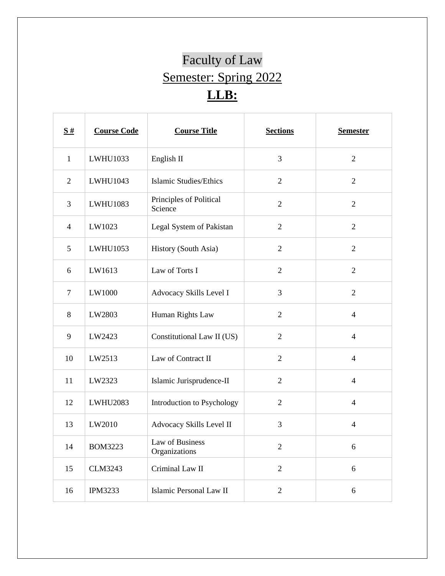## Faculty of Law Semester: Spring 2022 **LLB:**

Ш

| $\frac{S#}{4}$ | <b>Course Code</b> | <b>Course Title</b>                | <b>Sections</b> | <b>Semester</b> |
|----------------|--------------------|------------------------------------|-----------------|-----------------|
| $\mathbf{1}$   | LWHU1033           | English II                         | 3               | $\overline{2}$  |
| $\overline{2}$ | LWHU1043           | <b>Islamic Studies/Ethics</b>      | $\overline{2}$  | $\overline{2}$  |
| 3              | LWHU1083           | Principles of Political<br>Science | $\overline{2}$  | $\overline{2}$  |
| $\overline{4}$ | LW1023             | Legal System of Pakistan           | $\overline{2}$  | $\overline{2}$  |
| 5              | LWHU1053           | History (South Asia)               | $\overline{2}$  | $\overline{2}$  |
| 6              | LW1613             | Law of Torts I                     | $\overline{2}$  | $\overline{2}$  |
| $\overline{7}$ | LW1000             | Advocacy Skills Level I            | 3               | $\overline{2}$  |
| $8\,$          | LW2803             | Human Rights Law                   | $\overline{2}$  | $\overline{4}$  |
| 9              | LW2423             | Constitutional Law II (US)         | $\overline{2}$  | $\overline{4}$  |
| 10             | LW2513             | Law of Contract II                 | $\overline{2}$  | $\overline{4}$  |
| 11             | LW2323             | Islamic Jurisprudence-II           | $\overline{2}$  | $\overline{4}$  |
| 12             | <b>LWHU2083</b>    | Introduction to Psychology         | $\overline{2}$  | $\overline{4}$  |
| 13             | LW2010             | Advocacy Skills Level II           | 3               | $\overline{4}$  |
| 14             | <b>BOM3223</b>     | Law of Business<br>Organizations   | $\mathbf{2}$    | 6               |
| 15             | <b>CLM3243</b>     | Criminal Law II                    | $\overline{2}$  | 6               |
| 16             | <b>IPM3233</b>     | Islamic Personal Law II            | $\overline{c}$  | 6               |